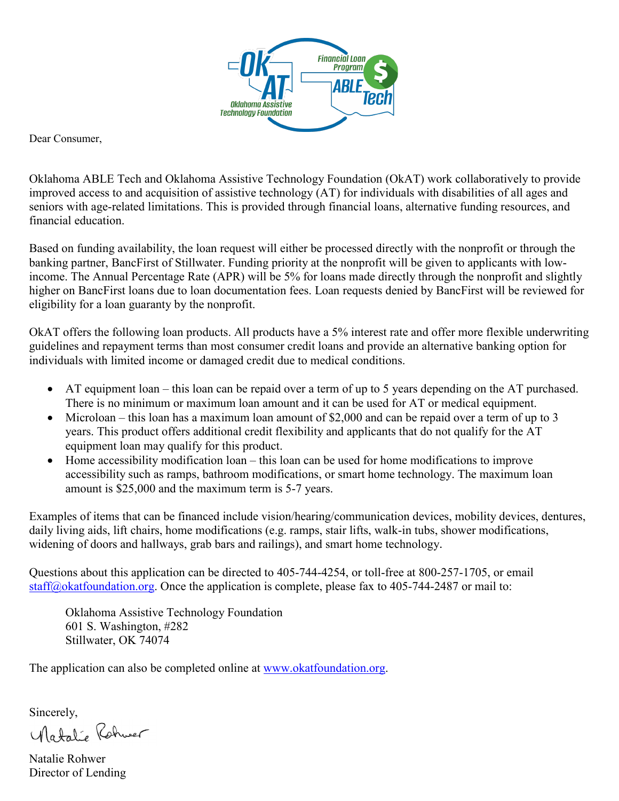

Dear Consumer,

Oklahoma ABLE Tech and Oklahoma Assistive Technology Foundation (OkAT) work collaboratively to provide improved access to and acquisition of assistive technology (AT) for individuals with disabilities of all ages and seniors with age-related limitations. This is provided through financial loans, alternative funding resources, and financial education.

Based on funding availability, the loan request will either be processed directly with the nonprofit or through the banking partner, BancFirst of Stillwater. Funding priority at the nonprofit will be given to applicants with lowincome. The Annual Percentage Rate (APR) will be 5% for loans made directly through the nonprofit and slightly higher on BancFirst loans due to loan documentation fees. Loan requests denied by BancFirst will be reviewed for eligibility for a loan guaranty by the nonprofit.

OkAT offers the following loan products. All products have a 5% interest rate and offer more flexible underwriting guidelines and repayment terms than most consumer credit loans and provide an alternative banking option for individuals with limited income or damaged credit due to medical conditions.

- AT equipment loan this loan can be repaid over a term of up to 5 years depending on the AT purchased. There is no minimum or maximum loan amount and it can be used for AT or medical equipment.
- Microloan this loan has a maximum loan amount of \$2,000 and can be repaid over a term of up to 3 years. This product offers additional credit flexibility and applicants that do not qualify for the AT equipment loan may qualify for this product.
- Home accessibility modification loan this loan can be used for home modifications to improve accessibility such as ramps, bathroom modifications, or smart home technology. The maximum loan amount is \$25,000 and the maximum term is 5-7 years.

Examples of items that can be financed include vision/hearing/communication devices, mobility devices, dentures, daily living aids, lift chairs, home modifications (e.g. ramps, stair lifts, walk-in tubs, shower modifications, widening of doors and hallways, grab bars and railings), and smart home technology.

Questions about this application can be directed to 405-744-4254, or toll-free at 800-257-1705, or email [staff@okatfoundation.org.](mailto:staff@okatfoundation.org) Once the application is complete, please fax to 405-744-2487 or mail to:

Oklahoma Assistive Technology Foundation 601 S. Washington, #282 Stillwater, OK 74074

The application can also be completed online at [www.okatfoundation.org.](http://www.okatfoundation.org/)

Sincerely,

Natalie Rohwer

Natalie Rohwer Director of Lending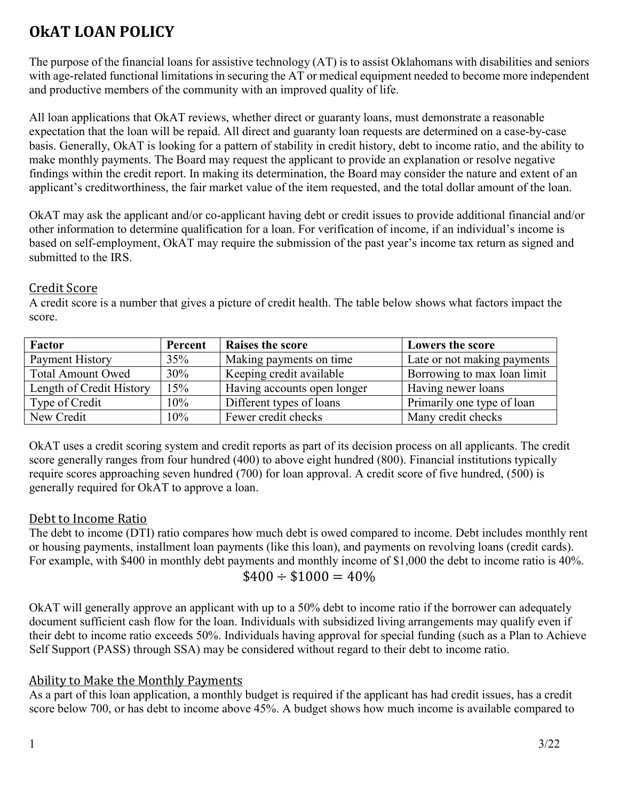# **OkAT LOAN POLICY**

The purpose of the financial loans for assistive technology (AT) is to assist Oklahomans with disabilities and seniors with age-related functional limitations in securing the AT or medical equipment needed to become more independent and productive members of the community with an improved quality of life.

All loan applications that OkAT reviews, whether direct or guaranty loans, must demonstrate a reasonable expectation that the loan will be repaid. All direct and guaranty loan requests are determined on a case-by-case basis. Generally, OkAT is looking for a pattern of stability in credit history, debt to income ratio, and the ability to make monthly payments. The Board may request the applicant to provide an explanation or resolve negative findings within the credit report. In making its determination, the Board may consider the nature and extent of an applicant's creditworthiness, the fair market value of the item requested, and the total dollar amount of the loan.

OkAT may ask the applicant and/or co-applicant having debt or credit issues to provide additional financial and/or other information to determine qualification for a loan. For verification of income, if an individual's income is based on self-employment, OkAT may require the submission of the past year's income tax return as signed and submitted to the IRS.

## Credit Score

A credit score is a number that gives a picture of credit health. The table below shows what factors impact the score.

| Factor                   | Percent | <b>Raises the score</b>     | <b>Lowers the score</b>     |
|--------------------------|---------|-----------------------------|-----------------------------|
| Payment History          | 35%     | Making payments on time     | Late or not making payments |
| <b>Total Amount Owed</b> | 30%     | Keeping credit available    | Borrowing to max loan limit |
| Length of Credit History | 15%     | Having accounts open longer | Having newer loans          |
| Type of Credit           | 10%     | Different types of loans    | Primarily one type of loan  |
| New Credit               | 10%     | Fewer credit checks         | Many credit checks          |

OkAT uses a credit scoring system and credit reports as part of its decision process on all applicants. The credit score generally ranges from four hundred (400) to above eight hundred (800). Financial institutions typically require scores approaching seven hundred (700) for loan approval. A credit score of five hundred, (500) is generally required for OkAT to approve a loan.

## Debt to Income Ratio

The debt to income (DTI) ratio compares how much debt is owed compared to income. Debt includes monthly rent or housing payments, installment loan payments (like this loan), and payments on revolving loans (credit cards). For example, with \$400 in monthly debt payments and monthly income of \$1,000 the debt to income ratio is 40%.  $$400 \div $1000 = 40\%$ 

OkAT will generally approve an applicant with up to a 50% debt to income ratio if the borrower can adequately document sufficient cash flow for the loan. Individuals with subsidized living arrangements may qualify even if their debt to income ratio exceeds 50%. Individuals having approval for special funding (such as a Plan to Achieve Self Support (PASS) through SSA) may be considered without regard to their debt to income ratio.

## Ability to Make the Monthly Payments

As a part of this loan application, a monthly budget is required if the applicant has had credit issues, has a credit score below 700, or has debt to income above 45%. A budget shows how much income is available compared to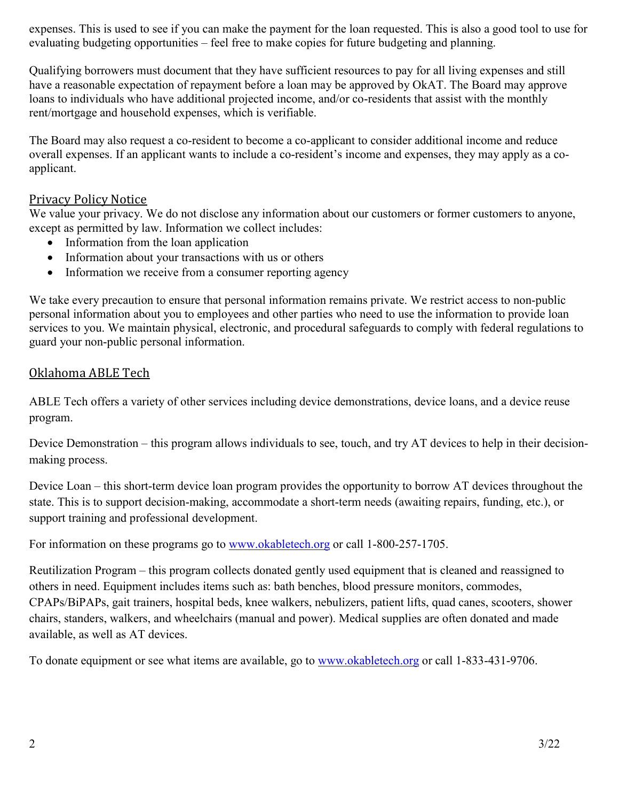expenses. This is used to see if you can make the payment for the loan requested. This is also a good tool to use for evaluating budgeting opportunities – feel free to make copies for future budgeting and planning.

Qualifying borrowers must document that they have sufficient resources to pay for all living expenses and still have a reasonable expectation of repayment before a loan may be approved by OkAT. The Board may approve loans to individuals who have additional projected income, and/or co-residents that assist with the monthly rent/mortgage and household expenses, which is verifiable.

The Board may also request a co-resident to become a co-applicant to consider additional income and reduce overall expenses. If an applicant wants to include a co-resident's income and expenses, they may apply as a coapplicant.

#### Privacy Policy Notice

We value your privacy. We do not disclose any information about our customers or former customers to anyone, except as permitted by law. Information we collect includes:

- Information from the loan application
- Information about your transactions with us or others
- Information we receive from a consumer reporting agency

We take every precaution to ensure that personal information remains private. We restrict access to non-public personal information about you to employees and other parties who need to use the information to provide loan services to you. We maintain physical, electronic, and procedural safeguards to comply with federal regulations to guard your non-public personal information.

## Oklahoma ABLE Tech

ABLE Tech offers a variety of other services including device demonstrations, device loans, and a device reuse program.

Device Demonstration – this program allows individuals to see, touch, and try AT devices to help in their decisionmaking process.

Device Loan – this short-term device loan program provides the opportunity to borrow AT devices throughout the state. This is to support decision-making, accommodate a short-term needs (awaiting repairs, funding, etc.), or support training and professional development.

For information on these programs go to [www.okabletech.org](http://www.okabletech.org/) or call 1-800-257-1705.

Reutilization Program – this program collects donated gently used equipment that is cleaned and reassigned to others in need. Equipment includes items such as: bath benches, blood pressure monitors, commodes, CPAPs/BiPAPs, gait trainers, hospital beds, knee walkers, nebulizers, patient lifts, quad canes, scooters, shower chairs, standers, walkers, and wheelchairs (manual and power). Medical supplies are often donated and made available, as well as AT devices.

To donate equipment or see what items are available, go to [www.okabletech.org](http://www.okabletech.org/) or call 1-833-431-9706.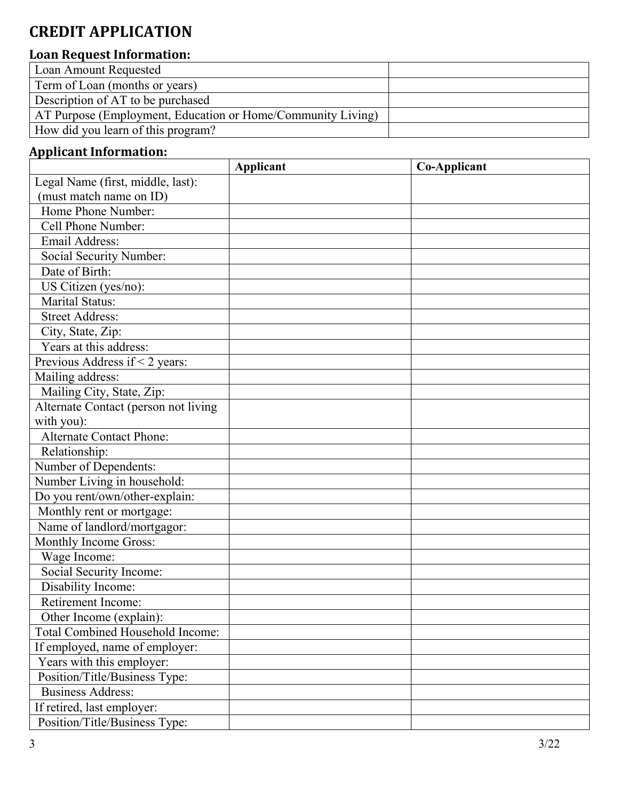# **CREDIT APPLICATION**

## **Loan Request Information:**

| Loan Amount Requested                                       |  |
|-------------------------------------------------------------|--|
| Term of Loan (months or years)                              |  |
| Description of AT to be purchased                           |  |
| AT Purpose (Employment, Education or Home/Community Living) |  |
| How did you learn of this program?                          |  |

## **Applicant Information:**

|                                         | <b>Applicant</b> | <b>Co-Applicant</b> |
|-----------------------------------------|------------------|---------------------|
| Legal Name (first, middle, last):       |                  |                     |
| (must match name on ID)                 |                  |                     |
| Home Phone Number:                      |                  |                     |
| Cell Phone Number:                      |                  |                     |
| Email Address:                          |                  |                     |
| Social Security Number:                 |                  |                     |
| Date of Birth:                          |                  |                     |
| $\overline{US}$ Citizen (yes/no):       |                  |                     |
| <b>Marital Status:</b>                  |                  |                     |
| <b>Street Address:</b>                  |                  |                     |
| City, State, Zip:                       |                  |                     |
| Years at this address:                  |                  |                     |
| Previous Address if < 2 years:          |                  |                     |
| Mailing address:                        |                  |                     |
| Mailing City, State, Zip:               |                  |                     |
| Alternate Contact (person not living    |                  |                     |
| with you):                              |                  |                     |
| <b>Alternate Contact Phone:</b>         |                  |                     |
| Relationship:                           |                  |                     |
| Number of Dependents:                   |                  |                     |
| Number Living in household:             |                  |                     |
| Do you rent/own/other-explain:          |                  |                     |
| Monthly rent or mortgage:               |                  |                     |
| Name of landlord/mortgagor:             |                  |                     |
| Monthly Income Gross:                   |                  |                     |
| Wage Income:                            |                  |                     |
| Social Security Income:                 |                  |                     |
| Disability Income:                      |                  |                     |
| Retirement Income:                      |                  |                     |
| Other Income (explain):                 |                  |                     |
| <b>Total Combined Household Income:</b> |                  |                     |
| If employed, name of employer:          |                  |                     |
| Years with this employer:               |                  |                     |
| Position/Title/Business Type:           |                  |                     |
| <b>Business Address:</b>                |                  |                     |
| If retired, last employer:              |                  |                     |
| Position/Title/Business Type:           |                  |                     |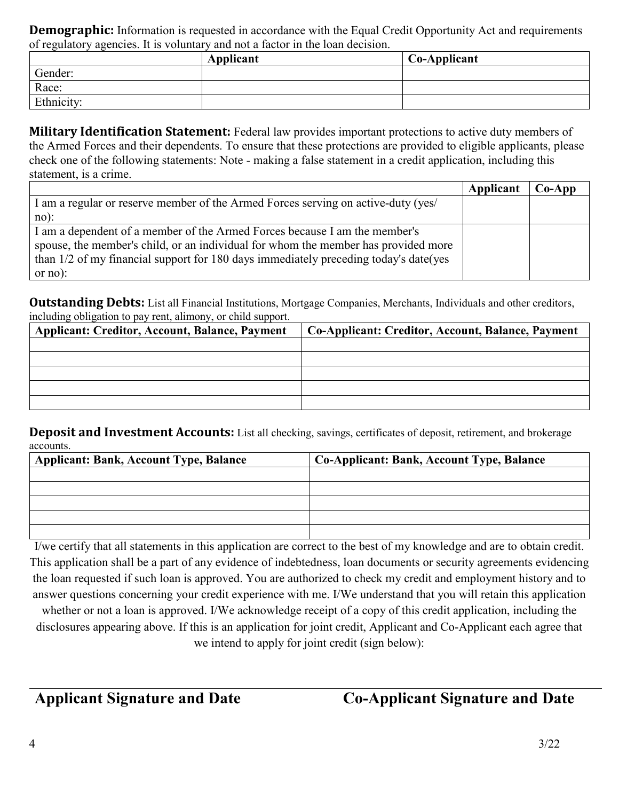**Demographic:** Information is requested in accordance with the Equal Credit Opportunity Act and requirements of regulatory agencies. It is voluntary and not a factor in the loan decision.

|            | Applicant | Co-Applicant |
|------------|-----------|--------------|
| Gender:    |           |              |
| Race:      |           |              |
| Ethnicity: |           |              |

**Military Identification Statement:** Federal law provides important protections to active duty members of the Armed Forces and their dependents. To ensure that these protections are provided to eligible applicants, please check one of the following statements: Note - making a false statement in a credit application, including this statement, is a crime.

|                                                                                      | Applicant | $Co-Ann$ |
|--------------------------------------------------------------------------------------|-----------|----------|
| I am a regular or reserve member of the Armed Forces serving on active-duty (yes)    |           |          |
| $no)$ :                                                                              |           |          |
| I am a dependent of a member of the Armed Forces because I am the member's           |           |          |
| spouse, the member's child, or an individual for whom the member has provided more   |           |          |
| than 1/2 of my financial support for 180 days immediately preceding today's date(yes |           |          |
| or $no$ :                                                                            |           |          |

**Outstanding Debts:** List all Financial Institutions, Mortgage Companies, Merchants, Individuals and other creditors, including obligation to pay rent, alimony, or child support.

| <b>Applicant: Creditor, Account, Balance, Payment</b> | Co-Applicant: Creditor, Account, Balance, Payment |
|-------------------------------------------------------|---------------------------------------------------|
|                                                       |                                                   |
|                                                       |                                                   |
|                                                       |                                                   |
|                                                       |                                                   |
|                                                       |                                                   |

**Deposit and Investment Accounts:** List all checking, savings, certificates of deposit, retirement, and brokerage accounts.

| <b>Applicant: Bank, Account Type, Balance</b> | Co-Applicant: Bank, Account Type, Balance |
|-----------------------------------------------|-------------------------------------------|
|                                               |                                           |
|                                               |                                           |
|                                               |                                           |
|                                               |                                           |
|                                               |                                           |

I/we certify that all statements in this application are correct to the best of my knowledge and are to obtain credit. This application shall be a part of any evidence of indebtedness, loan documents or security agreements evidencing the loan requested if such loan is approved. You are authorized to check my credit and employment history and to answer questions concerning your credit experience with me. I/We understand that you will retain this application

whether or not a loan is approved. I/We acknowledge receipt of a copy of this credit application, including the disclosures appearing above. If this is an application for joint credit, Applicant and Co-Applicant each agree that we intend to apply for joint credit (sign below):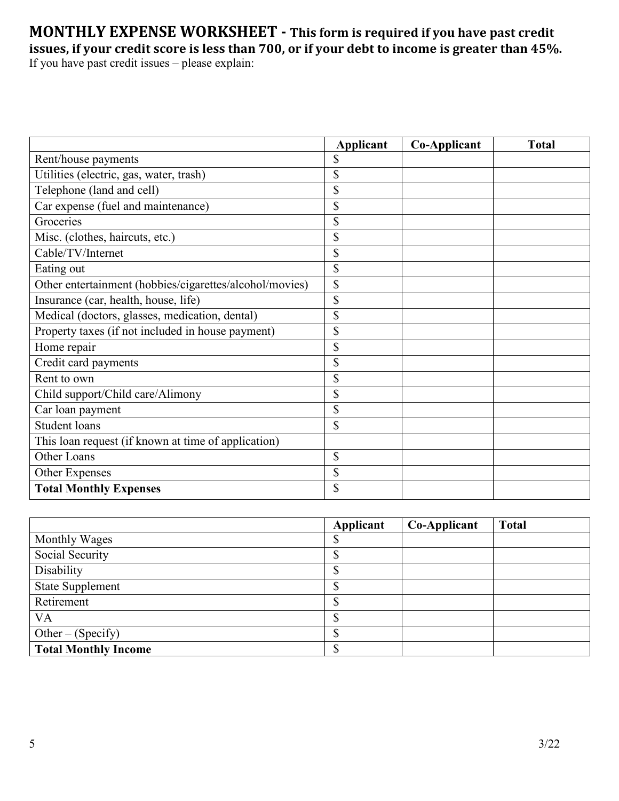## **MONTHLY EXPENSE WORKSHEET - This form is required if you have past credit issues, if your credit score is less than 700, or if your debt to income is greater than 45%.** If you have past credit issues – please explain:

|                                                         | Applicant | <b>Co-Applicant</b> | <b>Total</b> |
|---------------------------------------------------------|-----------|---------------------|--------------|
| Rent/house payments                                     | \$        |                     |              |
| Utilities (electric, gas, water, trash)                 | \$        |                     |              |
| Telephone (land and cell)                               | \$        |                     |              |
| Car expense (fuel and maintenance)                      | \$        |                     |              |
| Groceries                                               | \$        |                     |              |
| Misc. (clothes, haircuts, etc.)                         | \$        |                     |              |
| Cable/TV/Internet                                       | \$        |                     |              |
| Eating out                                              | \$        |                     |              |
| Other entertainment (hobbies/cigarettes/alcohol/movies) | \$        |                     |              |
| Insurance (car, health, house, life)                    | \$        |                     |              |
| Medical (doctors, glasses, medication, dental)          | \$        |                     |              |
| Property taxes (if not included in house payment)       | \$        |                     |              |
| Home repair                                             | \$        |                     |              |
| Credit card payments                                    | \$        |                     |              |
| Rent to own                                             | \$        |                     |              |
| Child support/Child care/Alimony                        | \$        |                     |              |
| Car loan payment                                        | \$        |                     |              |
| <b>Student loans</b>                                    | \$        |                     |              |
| This loan request (if known at time of application)     |           |                     |              |
| Other Loans                                             | \$        |                     |              |
| Other Expenses                                          | \$        |                     |              |
| <b>Total Monthly Expenses</b>                           | \$        |                     |              |

|                             | Applicant | Co-Applicant | <b>Total</b> |
|-----------------------------|-----------|--------------|--------------|
| Monthly Wages               |           |              |              |
| Social Security             |           |              |              |
| Disability                  | Φ         |              |              |
| <b>State Supplement</b>     | Φ         |              |              |
| Retirement                  |           |              |              |
| VA                          | Φ         |              |              |
| Other – $(Specify)$         |           |              |              |
| <b>Total Monthly Income</b> |           |              |              |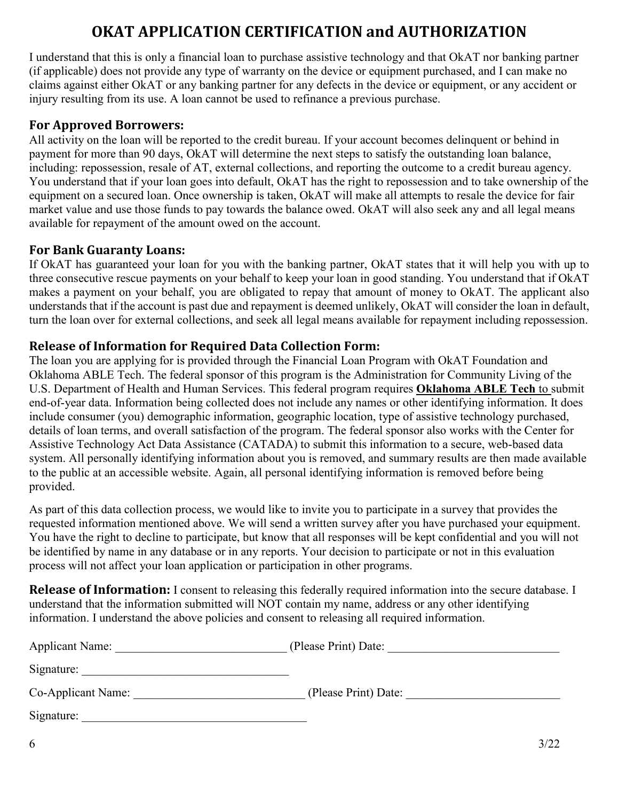# **OKAT APPLICATION CERTIFICATION and AUTHORIZATION**

I understand that this is only a financial loan to purchase assistive technology and that OkAT nor banking partner (if applicable) does not provide any type of warranty on the device or equipment purchased, and I can make no claims against either OkAT or any banking partner for any defects in the device or equipment, or any accident or injury resulting from its use. A loan cannot be used to refinance a previous purchase.

## **For Approved Borrowers:**

All activity on the loan will be reported to the credit bureau. If your account becomes delinquent or behind in payment for more than 90 days, OkAT will determine the next steps to satisfy the outstanding loan balance, including: repossession, resale of AT, external collections, and reporting the outcome to a credit bureau agency. You understand that if your loan goes into default, OkAT has the right to repossession and to take ownership of the equipment on a secured loan. Once ownership is taken, OkAT will make all attempts to resale the device for fair market value and use those funds to pay towards the balance owed. OkAT will also seek any and all legal means available for repayment of the amount owed on the account.

## **For Bank Guaranty Loans:**

If OkAT has guaranteed your loan for you with the banking partner, OkAT states that it will help you with up to three consecutive rescue payments on your behalf to keep your loan in good standing. You understand that if OkAT makes a payment on your behalf, you are obligated to repay that amount of money to OkAT. The applicant also understands that if the account is past due and repayment is deemed unlikely, OkAT will consider the loan in default, turn the loan over for external collections, and seek all legal means available for repayment including repossession.

## **Release of Information for Required Data Collection Form:**

The loan you are applying for is provided through the Financial Loan Program with OkAT Foundation and Oklahoma ABLE Tech. The federal sponsor of this program is the Administration for Community Living of the U.S. Department of Health and Human Services. This federal program requires **Oklahoma ABLE Tech** to submit end-of-year data. Information being collected does not include any names or other identifying information. It does include consumer (you) demographic information, geographic location, type of assistive technology purchased, details of loan terms, and overall satisfaction of the program. The federal sponsor also works with the Center for Assistive Technology Act Data Assistance (CATADA) to submit this information to a secure, web-based data system. All personally identifying information about you is removed, and summary results are then made available to the public at an accessible website. Again, all personal identifying information is removed before being provided.

As part of this data collection process, we would like to invite you to participate in a survey that provides the requested information mentioned above. We will send a written survey after you have purchased your equipment. You have the right to decline to participate, but know that all responses will be kept confidential and you will not be identified by name in any database or in any reports. Your decision to participate or not in this evaluation process will not affect your loan application or participation in other programs.

**Release of Information:** I consent to releasing this federally required information into the secure database. I understand that the information submitted will NOT contain my name, address or any other identifying information. I understand the above policies and consent to releasing all required information.

| <b>Applicant Name:</b> | (Please Print) Date: |
|------------------------|----------------------|
| Signature:             |                      |
| Co-Applicant Name:     | (Please Print) Date: |
| Signature:             |                      |